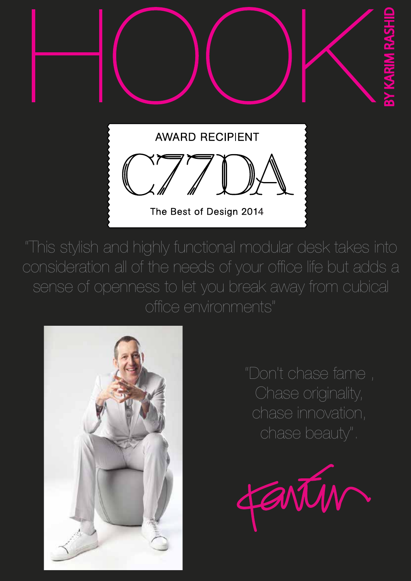

The Best of Design 2014

"This stylish and highly functional modular desk takes into consideration all of the needs of your office life but adds a sense of openness to let you break away from cubical office environments"



"Don't chase fame , Chase originality, chase innovation, chase beauty".